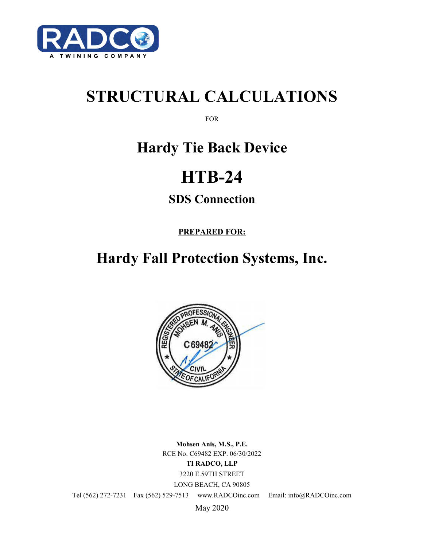

# **STRUCTURAL CALCULATIONS**

FOR

## **Hardy Tie Back Device**

# **HTB-24**

### **SDS Connection**

**PREPARED FOR:**

## **Hardy Fall Protection Systems, Inc.**



**Mohsen Anis, M.S., P.E.** RCE No. C69482 EXP. 06/30/2022 **TI RADCO, LLP** 3220 E.59TH STREET LONG BEACH, CA 90805

Tel (562) 272-7231 Fax (562) 529-7513 www.RADCOinc.com Email: info@RADCOinc.com

May 2020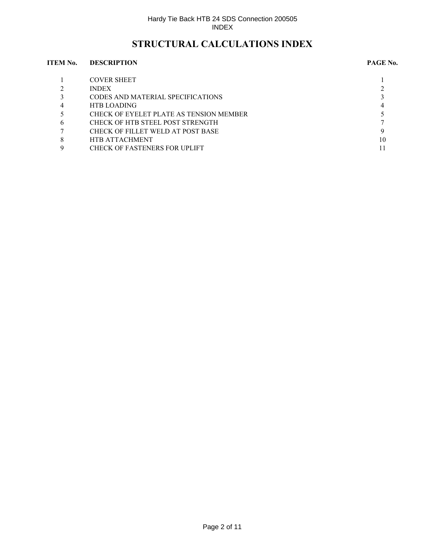### **STRUCTURAL CALCULATIONS INDEX**

#### **ITEM No. DESCRIPTION PAGE No.**

|                | <b>COVER SHEET</b>                      |    |
|----------------|-----------------------------------------|----|
|                | <b>INDEX</b>                            |    |
|                | CODES AND MATERIAL SPECIFICATIONS       |    |
| $\overline{4}$ | <b>HTB LOADING</b>                      |    |
|                | CHECK OF EYELET PLATE AS TENSION MEMBER |    |
| 6              | CHECK OF HTB STEEL POST STRENGTH        |    |
|                | CHECK OF FILLET WELD AT POST BASE       |    |
| 8              | <b>HTB ATTACHMENT</b>                   | 10 |
| 9              | <b>CHECK OF FASTENERS FOR UPLIFT</b>    |    |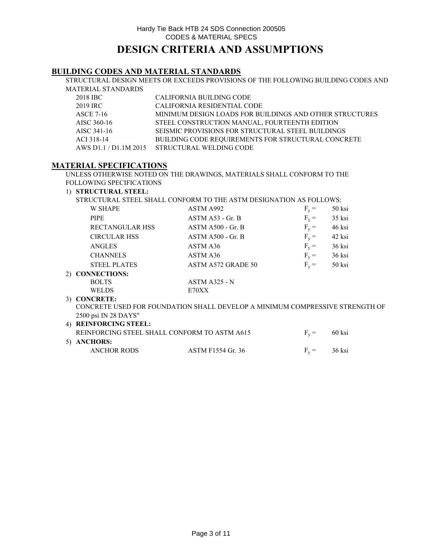**BUILDING CODES AND MATERIAL STANDARDS**

STRUCTURAL DESIGN MEETS OR EXCEEDS PROVISIONS OF THE FOLLOWING BUILDING CODES AND MATERIAL STANDARDS

| 2018 IBC    | CALIFORNIA BUILDING CODE                                  |
|-------------|-----------------------------------------------------------|
| 2019 IRC    | CALIFORNIA RESIDENTIAL CODE                               |
| ASCE 7-16   | MINIMUM DESIGN LOADS FOR BUILDINGS AND OTHER STRUCTURES   |
| AISC 360-16 | STEEL CONSTRUCTION MANUAL, FOURTEENTH EDITION             |
| AISC 341-16 | SEISMIC PROVISIONS FOR STRUCTURAL STEEL BUILDINGS         |
| ACI 318-14  | <b>BUILDING CODE REOUIREMENTS FOR STRUCTURAL CONCRETE</b> |
|             | AWS D1.1 / D1.1M 2015 STRUCTURAL WELDING CODE             |

### **MATERIAL SPECIFICATIONS**

UNLESS OTHERWISE NOTED ON THE DRAWINGS, MATERIALS SHALL CONFORM TO THE FOLLOWING SPECIFICATIONS

#### 1) **STRUCTURAL STEEL:**

STRUCTURAL STEEL SHALL CONFORM TO THE ASTM DESIGNATION AS FOLLOWS:

| <b>W SHAPE</b>      | ASTM A992                                                                    | $F_v =$ | 50 ksi   |  |
|---------------------|------------------------------------------------------------------------------|---------|----------|--|
| <b>PIPE</b>         | ASTM A53 - Gr. B                                                             | $F_v =$ | 35 ksi   |  |
| RECTANGULAR HSS     | $ASTM A500 - Gr. B$                                                          | $F_v =$ | 46 ksi   |  |
| <b>CIRCULAR HSS</b> | $ASTM A500 - Gr. B$                                                          | $F_v =$ | 42 ksi   |  |
| <b>ANGLES</b>       | ASTM A36                                                                     | $F_v =$ | 36 ksi   |  |
| <b>CHANNELS</b>     | ASTM A36                                                                     | $F_v =$ | $36$ ksi |  |
| <b>STEEL PLATES</b> | ASTM A572 GRADE 50                                                           | $F_v =$ | 50 ksi   |  |
| 2) CONNECTIONS:     |                                                                              |         |          |  |
| <b>BOLTS</b>        | $ASTM A325 - N$                                                              |         |          |  |
| <b>WELDS</b>        | E70XX                                                                        |         |          |  |
| 3) CONCRETE:        |                                                                              |         |          |  |
|                     | CONCRETE USED FOR FOUNDATION SHALL DEVELOP A MINIMUM COMPRESSIVE STRENGTH OF |         |          |  |
|                     |                                                                              |         |          |  |

#### 4) **REINFORCING STEEL:** REINFORCING STEEL SHALL CONFORM TO ASTM A615  $F_v = 60$  ksi 5) **ANCHORS:** ANCHOR RODS ASTM F1554 Gr. 36  $F_v = 36$  ksi 2500 psi IN 28 DAYS"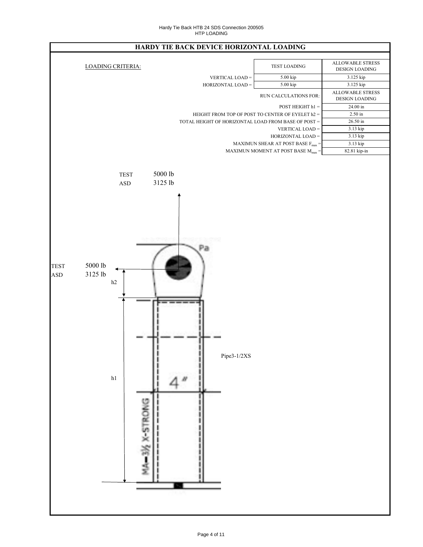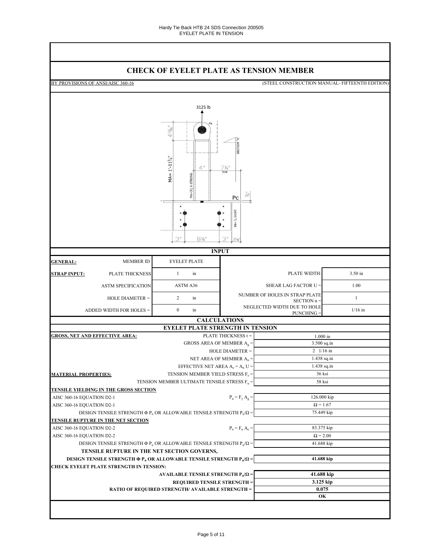### **CHECK OF EYELET PLATE AS TENSION MEMBER**

|                             |                                                                                     | <u>CHECK OF ETELET FLATE AS TENSION MEMBER</u>                                  |                                                 |                                                  |              |  |  |  |
|-----------------------------|-------------------------------------------------------------------------------------|---------------------------------------------------------------------------------|-------------------------------------------------|--------------------------------------------------|--------------|--|--|--|
|                             | BY PROVISIONS OF ANSI/AISC 360-16<br>(STEEL CONSTRUCTION MANUAL- FIFTEENTH EDITION) |                                                                                 |                                                 |                                                  |              |  |  |  |
|                             |                                                                                     |                                                                                 |                                                 |                                                  |              |  |  |  |
|                             |                                                                                     | 3125 lb                                                                         |                                                 |                                                  |              |  |  |  |
|                             |                                                                                     |                                                                                 |                                                 |                                                  |              |  |  |  |
|                             |                                                                                     | 413/6'<br>$MA = 1'-113/4"$<br>4''<br>$MA = 3\frac{1}{2}$ X-STRONG               | SECTION<br>$\frac{7\frac{1}{4}}{TYP}$<br>Pc     |                                                  |              |  |  |  |
|                             |                                                                                     |                                                                                 | $Pd = \frac{1}{4}$ SKIRT                        |                                                  |              |  |  |  |
|                             |                                                                                     | 3''<br>$8\frac{1}{4}$                                                           | 3''<br>2%"                                      |                                                  |              |  |  |  |
|                             |                                                                                     | <b>INPUT</b>                                                                    |                                                 |                                                  |              |  |  |  |
| <b>GENERAL:</b>             | <b>MEMBER ID</b>                                                                    | <b>EYELET PLATE</b>                                                             |                                                 |                                                  |              |  |  |  |
| <b>STRAP INPUT:</b>         | PLATE THICKNESS                                                                     | $\mathbf{1}$<br>in                                                              |                                                 | PLATE WIDTH:                                     | 3.50 in      |  |  |  |
|                             | <b>ASTM SPECIFICATION</b>                                                           | ASTM A36                                                                        | 1.00<br>SHEAR LAG FACTOR U =                    |                                                  |              |  |  |  |
|                             | HOLE DIAMETER =                                                                     | $\overline{2}$<br>in                                                            |                                                 | NUMBER OF HOLES IN STRAP PLATE<br>SECTION n =    | $\mathbf{1}$ |  |  |  |
|                             | ADDED WIDTH FOR HOLES =                                                             | $\boldsymbol{0}$<br>in                                                          |                                                 | NEGLECTED WIDTH DUE TO HOLE<br><b>PUNCHING =</b> | $1/16$ in    |  |  |  |
|                             |                                                                                     | <b>CALCULATIONS</b>                                                             |                                                 |                                                  |              |  |  |  |
|                             |                                                                                     | <b>EYELET PLATE STRENGTH IN TENSION</b>                                         |                                                 |                                                  |              |  |  |  |
|                             | <b>GROSS, NET AND EFFECTIVE AREA:</b>                                               |                                                                                 | PLATE THICKNESS t =                             | $1.000$ in                                       |              |  |  |  |
|                             |                                                                                     | GROSS AREA OF MEMBER $A_g =$                                                    |                                                 | 3.500 sq.in                                      |              |  |  |  |
|                             |                                                                                     |                                                                                 | HOLE DIAMETER =                                 | $2 \frac{1}{16}$ in                              |              |  |  |  |
|                             |                                                                                     | NET AREA OF MEMBER $A_n =$                                                      |                                                 |                                                  | 1.438 sq.in  |  |  |  |
|                             |                                                                                     | EFFECTIVE NET AREA $A_e = A_n U =$                                              |                                                 | 1.438 sq.in                                      |              |  |  |  |
| <b>MATERIAL PROPERTIES:</b> |                                                                                     | TENSION MEMBER YIELD STRESS $F_y =$                                             |                                                 | 36 ksi                                           |              |  |  |  |
|                             |                                                                                     | TENSION MEMBER ULTIMATE TENSILE STRESS $\mathrm{F_{u}}=$                        |                                                 | 58 ksi                                           |              |  |  |  |
|                             | <b>TENSILE YIELDING IN THE GROSS SECTION</b>                                        |                                                                                 |                                                 |                                                  |              |  |  |  |
| AISC 360-16 EQUATION D2-1   |                                                                                     |                                                                                 | $P_n = F_y A_g =$                               | 126.000 kip                                      |              |  |  |  |
| AISC 360-16 EQUATION D2-1   |                                                                                     |                                                                                 |                                                 | $\Omega$ = 1.67<br>75.449 kip                    |              |  |  |  |
|                             |                                                                                     | DESIGN TENSILE STRENGTH $\Phi P_n$ OR ALLOWABLE TENSILE STRENGTH $P_n/\Omega$ = |                                                 |                                                  |              |  |  |  |
|                             | <b>TENSILE RUPTURE IN THE NET SECTION</b>                                           |                                                                                 |                                                 |                                                  |              |  |  |  |
| AISC 360-16 EQUATION D2-2   |                                                                                     |                                                                                 | $\mathbf{P_n} = \mathbf{F_u} \; \mathbf{A_e} =$ |                                                  | 83.375 kip   |  |  |  |
| AISC 360-16 EQUATION D2-2   |                                                                                     |                                                                                 |                                                 | $\Omega = 2.00$                                  |              |  |  |  |
|                             |                                                                                     | DESIGN TENSILE STRENGTH $\Phi P_n$ OR ALLOWABLE TENSILE STRENGTH $P_n/\Omega$ = |                                                 | 41.688 kip                                       |              |  |  |  |
|                             |                                                                                     | TENSILE RUPTURE IN THE NET SECTION GOVERNS,                                     |                                                 |                                                  |              |  |  |  |
|                             |                                                                                     | DESIGN TENSILE STRENGTH $\Phi P_n$ OR ALLOWABLE TENSILE STRENGTH $P_n/\Omega$ = |                                                 | 41.688 kip                                       |              |  |  |  |
|                             | <b>CHECK EYELET PLATE STRENGTH IN TENSION:</b>                                      | AVAILABLE TENSILE STRENGTH $P_n/\Omega$ =                                       |                                                 | 41.688 kip                                       |              |  |  |  |
|                             |                                                                                     | <b>REQUIRED TENSILE STRENGTH =</b>                                              |                                                 | 3.125 kip                                        |              |  |  |  |
|                             |                                                                                     | <b>RATIO OF REQUIRED STRENGTH/ AVAILABLE STRENGTH =</b>                         |                                                 | 0.075                                            |              |  |  |  |
|                             |                                                                                     |                                                                                 |                                                 |                                                  | OК           |  |  |  |
|                             |                                                                                     |                                                                                 |                                                 |                                                  |              |  |  |  |
|                             |                                                                                     |                                                                                 |                                                 |                                                  |              |  |  |  |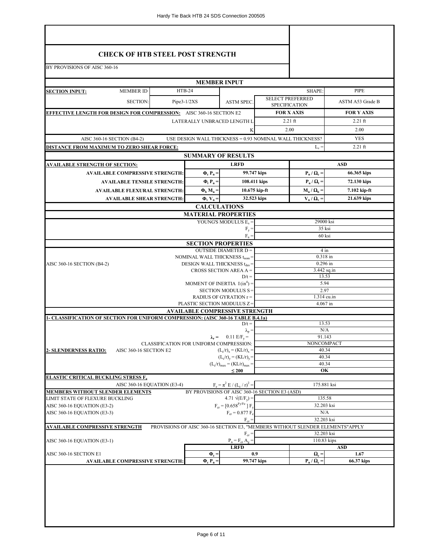| <b>CHECK OF HTB STEEL POST STRENGTH</b><br>BY PROVISIONS OF AISC 360-16                 |                                        |                                                                     |                                                |                                                 |                                                            |                                                                               |  |  |
|-----------------------------------------------------------------------------------------|----------------------------------------|---------------------------------------------------------------------|------------------------------------------------|-------------------------------------------------|------------------------------------------------------------|-------------------------------------------------------------------------------|--|--|
|                                                                                         |                                        |                                                                     |                                                |                                                 |                                                            |                                                                               |  |  |
|                                                                                         |                                        | <b>MEMBER INPUT</b>                                                 |                                                |                                                 |                                                            |                                                                               |  |  |
| <b>MEMBER ID</b><br><b>SECTION INPUT:</b>                                               |                                        | <b>HTB-24</b>                                                       |                                                |                                                 | SHAPE:                                                     | <b>PIPE</b>                                                                   |  |  |
| <b>SECTION:</b>                                                                         |                                        | $Pipe3-1/2XS$                                                       | <b>ASTM SPEC.</b>                              | <b>SELECT PREFERRED</b><br><b>SPECIFICATION</b> |                                                            | ASTM A53 Grade B                                                              |  |  |
| <b>EFFECTIVE LENGTH FOR DESIGN FOR COMPRESSION:</b> AISC 360-16 SECTION E2              |                                        | <b>FOR X AXIS</b>                                                   | <b>FOR Y AXIS</b>                              |                                                 |                                                            |                                                                               |  |  |
|                                                                                         |                                        | LATERALLY UNBRACED LENGTH L                                         |                                                |                                                 | $2.21$ ft                                                  | $2.21$ ft                                                                     |  |  |
|                                                                                         |                                        |                                                                     | K                                              |                                                 | 2.00                                                       | 2.00                                                                          |  |  |
| AISC 360-16 SECTION (B4-2)                                                              |                                        | USE DESIGN WALL THICKNESS = 0.93 NOMINAL WALL THICKNESS?            |                                                |                                                 |                                                            | <b>YES</b>                                                                    |  |  |
| DISTANCE FROM MAXIMUM TO ZERO SHEAR FORCE:                                              |                                        |                                                                     |                                                |                                                 | $L_v =$                                                    | $2.21$ ft                                                                     |  |  |
|                                                                                         |                                        | <b>SUMMARY OF RESULTS</b>                                           | <b>LRFD</b>                                    |                                                 |                                                            | <b>ASD</b>                                                                    |  |  |
| <u>AVAILABLE STRENGTH OF SECTION:</u><br><b>AVAILABLE COMPRESSIVE STRENGTH:</b>         |                                        | $\Phi_{\rm c} P_{\rm n} =$                                          |                                                | 99.747 kips                                     | $\mathbf{P}_{\mathbf{n}} / \mathbf{\Omega}_{\mathbf{c}} =$ | 66.365 kips                                                                   |  |  |
| <b>AVAILABLE TENSILE STRENGTH:</b>                                                      |                                        | $\Phi_t$ P <sub>n</sub> =                                           |                                                | 108.411 kips                                    | $P_n / Q_t =$                                              | 72.130 kips                                                                   |  |  |
| <b>AVAILABLE FLEXURAL STRENGTH:</b>                                                     |                                        | $\Phi_{\rm h}$ M <sub>n</sub> =                                     |                                                | $10.675$ kip-ft                                 | $M_n / \Omega_b =$                                         | 7.102 kip-ft                                                                  |  |  |
| <b>AVAILABLE SHEAR STRENGTH:</b>                                                        |                                        | $\Phi_{\rm v}$ V <sub>n</sub> =                                     |                                                | 32.523 kips                                     | $V_n / \Omega_v$ =                                         | 21.639 kips                                                                   |  |  |
|                                                                                         |                                        | <b>CALCULATIONS</b>                                                 |                                                |                                                 |                                                            |                                                                               |  |  |
|                                                                                         |                                        | <b>MATERIAL PROPERTIES</b>                                          |                                                |                                                 |                                                            |                                                                               |  |  |
|                                                                                         |                                        |                                                                     | YOUNG'S MODULUS $E_s =$<br>$F_v =$             |                                                 | 29000 ksi<br>35 ksi                                        |                                                                               |  |  |
|                                                                                         |                                        |                                                                     | $F_n =$                                        |                                                 | 60 ksi                                                     |                                                                               |  |  |
|                                                                                         |                                        | <b>SECTION PROPERTIES</b>                                           |                                                |                                                 |                                                            |                                                                               |  |  |
|                                                                                         |                                        | NOMINAL WALL THICKNESS t <sub>nom</sub> =                           | <b>OUTSIDE DIAMETER D =</b>                    |                                                 | $4 \text{ in}$<br>0.318 in                                 |                                                                               |  |  |
| AISC 360-16 SECTION (B4-2)                                                              |                                        | DESIGN WALL THICKNESS t <sub>des</sub> =                            |                                                |                                                 | $0.296$ in                                                 |                                                                               |  |  |
|                                                                                         |                                        |                                                                     | CROSS SECTION AREA $A =$<br>$D/t =$            | $3.442$ sq.in<br>13.53                          |                                                            |                                                                               |  |  |
|                                                                                         |                                        | MOMENT OF INERTIA $I(in^4) =$                                       |                                                | 5.94                                            |                                                            |                                                                               |  |  |
|                                                                                         |                                        |                                                                     | SECTION MODULUS S=                             |                                                 | 2.97                                                       |                                                                               |  |  |
|                                                                                         |                                        | PLASTIC SECTION MODULUS Z=                                          | RADIUS OF GYRATION r =                         |                                                 | 1.314 cu.in<br>4.067 in                                    |                                                                               |  |  |
|                                                                                         |                                        | <b>AVAILABLE COMPRESSIVE STRENGTH</b>                               |                                                |                                                 |                                                            |                                                                               |  |  |
| <b>1- CLASSIFICATION OF SECTION FOR UNIFORM COMPRESSION: (AISC 360-16 TABLE B.4.1a)</b> |                                        |                                                                     | $D/t =$                                        |                                                 | 13.53                                                      |                                                                               |  |  |
|                                                                                         |                                        |                                                                     | $\lambda_{\rm p} =$                            |                                                 | N/A                                                        |                                                                               |  |  |
|                                                                                         |                                        |                                                                     | $\lambda_r = 0.11 \text{ E/F}_v =$             |                                                 | 91.143                                                     |                                                                               |  |  |
| AISC 360-16 SECTION E2<br><b>2- SLENDERNESS RATIO:</b>                                  |                                        | CLASSIFICATION FOR UNIFORM COMPRESSION:<br>$(L_c/r)_x = (KL/r)_x =$ |                                                |                                                 | NONCOMPACT<br>40.34                                        |                                                                               |  |  |
|                                                                                         |                                        |                                                                     | $(L_c/r)_v = (KL/r)_v =$                       |                                                 |                                                            | 40.34                                                                         |  |  |
|                                                                                         |                                        |                                                                     | $(L_c/r)_{max} = (KL/r)_{max} =$<br>$\leq 200$ |                                                 | 40.34<br>OK                                                |                                                                               |  |  |
| <b>ELASTIC CRITICAL BUCKLING STRESS F.</b>                                              |                                        |                                                                     |                                                |                                                 |                                                            |                                                                               |  |  |
| AISC 360-16 EQUATION (E3-4)                                                             |                                        |                                                                     | $F_e = \pi^2 E / (L_e / r)^2$                  |                                                 | 175.881 ksi                                                |                                                                               |  |  |
| <b>MEMBERS WITHOUT SLENDER ELEMENTS</b><br>LIMIT STATE OF FLEXURE BUCKLING              |                                        | BY PROVISIONS OF AISC 360-16 SECTION E3 (ASD)                       | 4.71 $\sqrt{(E/F_v)}$ =                        |                                                 | 135.58                                                     |                                                                               |  |  |
| AISC 360-16 EQUATION (E3-2)                                                             |                                        |                                                                     | $F_{cr}$ = [0.658 <sup>Fy/Fe</sup> ] $F_{v}$   |                                                 | 32.203 ksi                                                 |                                                                               |  |  |
| AISC 360-16 EQUATION (E3-3)                                                             |                                        |                                                                     | $F_{cr} = 0.877 F_e$                           |                                                 | N/A<br>32.203 ksi                                          |                                                                               |  |  |
| <b>AVAILABLE COMPRESSIVE STRENGTH</b>                                                   |                                        |                                                                     | $F_{cr} =$                                     |                                                 |                                                            | PROVISIONS OF AISC 360-16 SECTION E3, "MEMBERS WITHOUT SLENDER ELEMENTS"APPLY |  |  |
|                                                                                         |                                        |                                                                     | $F_{cr} =$                                     |                                                 | 32.203 ksi                                                 |                                                                               |  |  |
| AISC 360-16 EQUATION (E3-1)                                                             |                                        |                                                                     | $P_n = F_{cr} A_e =$<br><b>LRFD</b>            |                                                 | 110.83 kips                                                | <b>ASD</b>                                                                    |  |  |
| AISC 360-16 SECTION E1                                                                  |                                        | $\Phi_{c} =$                                                        |                                                | 0.9                                             | $\Omega_{\rm c} =$                                         | 1.67                                                                          |  |  |
|                                                                                         | <b>AVAILABLE COMPRESSIVE STRENGTH:</b> | $\Phi_c$ $P_n =$                                                    |                                                | 99.747 kips                                     | $P_n / Q_c =$                                              | 66.37 kips                                                                    |  |  |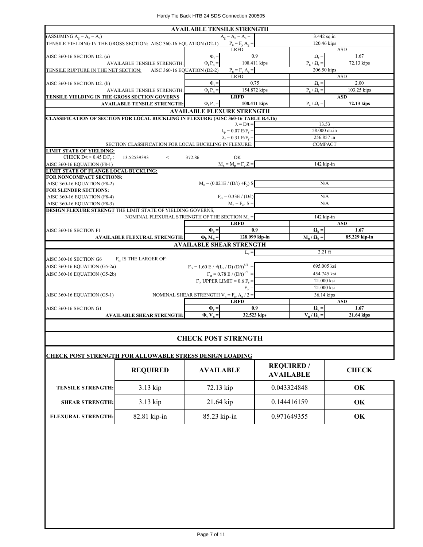|                                                                                            |                                                                                  | <b>AVAILABLE TENSILE STRENGTH</b>     |                                  |               |  |
|--------------------------------------------------------------------------------------------|----------------------------------------------------------------------------------|---------------------------------------|----------------------------------|---------------|--|
| $(ASSUMING Ag = An = Ae)$                                                                  |                                                                                  | $A_{\sigma} = A_{n} = A_{e} =$        | 3.442 sq.in                      |               |  |
| TENSILE YIELDING IN THE GROSS SECTION: AISC 360-16 EQUATION (D2-1)                         | $P_n = F_y A_g =$                                                                |                                       | 120.46 kips                      |               |  |
|                                                                                            |                                                                                  | <b>LRFD</b>                           |                                  | <b>ASD</b>    |  |
| AISC 360-16 SECTION D2. (a)                                                                | $\Phi$ <sub>+</sub>                                                              | 0.9                                   | $\Omega_t =$                     | 1.67          |  |
| <b>AVAILABLE TENSILE STRENGTH:</b>                                                         | $\Phi$ <sub>t</sub> $P_n =$                                                      | 108.411 kips                          | $P_n / \Omega_t =$               | 72.13 kips    |  |
| TENSILE RUPTURE IN THE NET SECTION: AISC 360-16 EQUATION (D2-2)                            |                                                                                  | $P_n = F_n A_e =$                     | 206.50 kips                      |               |  |
|                                                                                            |                                                                                  | <b>LRFD</b>                           |                                  | <b>ASD</b>    |  |
| AISC 360-16 SECTION D2. (b)                                                                | $\Phi_t =$                                                                       | 0.75                                  | $\Omega_{\rm t} =$               | 2.00          |  |
| <b>AVAILABLE TENSILE STRENGTH:</b>                                                         | $\Phi$ <sub>t</sub> $P_n =$                                                      | 154.872 kips                          | $P_n / Q_t =$                    | 103.25 kips   |  |
| TENSILE YIELDING IN THE GROSS SECTION GOVERNS                                              |                                                                                  | <b>LRFD</b>                           |                                  | <b>ASD</b>    |  |
| <b>AVAILABLE TENSILE STRENGTH:</b>                                                         | $\Phi$ <sub>t</sub> $P_n =$                                                      | 108.411 kips                          | $P_n / Q_t =$                    | 72.13 kips    |  |
|                                                                                            |                                                                                  | <b>AVAILABLE FLEXURE STRENGTH</b>     |                                  |               |  |
| <b>CLASSIFICATION OF SECTION FOR LOCAL BUCKLING IN FLEXURE: (AISC 360-16 TABLE B.4.1b)</b> |                                                                                  |                                       |                                  |               |  |
|                                                                                            |                                                                                  | $\lambda = D/t =$                     | 13.53                            |               |  |
|                                                                                            |                                                                                  | $\lambda_p = 0.07$ E/F <sub>v</sub> = | 58.000 cu.in                     |               |  |
|                                                                                            |                                                                                  | $\lambda_r = 0.31$ E/F <sub>v</sub> = | 256.857 in                       |               |  |
| SECTION CLASSIFICATION FOR LOCAL BUCKLING IN FLEXURE:                                      |                                                                                  |                                       | <b>COMPACT</b>                   |               |  |
| <b>LIMIT STATE OF YIELDING:</b>                                                            |                                                                                  |                                       |                                  |               |  |
| CHECK $D/t < 0.45$ E/F <sub>v</sub> :<br>13.52539393<br>$\lt$                              | 372.86                                                                           | OK                                    |                                  |               |  |
| AISC 360-16 EQUATION (F8-1)                                                                |                                                                                  | $M_n = M_p = F_v Z =$                 | 142 kip-in                       |               |  |
| <b>LIMIT STATE OF FLANGE LOCAL BUCKLING:</b>                                               |                                                                                  |                                       |                                  |               |  |
| FOR NONCOMPACT SECTIONS:                                                                   |                                                                                  |                                       |                                  |               |  |
| AISC 360-16 EQUATION (F8-2)                                                                |                                                                                  | $M_n = (0.021E / (D/t) + F_v) S$      | N/A                              |               |  |
| <b>FOR SLENDER SECTIONS:</b>                                                               |                                                                                  |                                       |                                  |               |  |
| AISC 360-16 EQUATION (F8-4)                                                                |                                                                                  | $F_{cr} = 0.33E / (D/t)$              | N/A                              |               |  |
| AISC 360-16 EQUATION (F8-3)                                                                |                                                                                  | $M_n = F_{cr} S =$                    | N/A                              |               |  |
| DESIGN FLEXURE STRENGT THE LIMIT STATE OF YIELDING GOVERNS,                                |                                                                                  |                                       |                                  |               |  |
| NOMINAL FLEXURAL STRENGTH OF THE SECTION $M_n =$                                           |                                                                                  |                                       | 142 kip-in                       |               |  |
|                                                                                            |                                                                                  | <b>LRFD</b>                           |                                  | <b>ASD</b>    |  |
| AISC 360-16 SECTION F1                                                                     | $\Phi_{\rm b} =$                                                                 | 0.9                                   | $\Omega_{\rm b} =$               | 1.67          |  |
| <b>AVAILABLE FLEXURAL STRENGTH:</b>                                                        | $\Phi_{\rm h} M_{\rm n} =$                                                       | 128.099 kip-in                        | $M_n / \Omega_b$ =               | 85.229 kip-in |  |
|                                                                                            |                                                                                  | <b>AVAILABLE SHEAR STRENGTH</b>       |                                  |               |  |
|                                                                                            |                                                                                  | $L_v =$                               | $2.21$ ft                        |               |  |
| AISC 360-16 SECTION G6<br>F <sub>cr</sub> IS THE LARGER OF:                                |                                                                                  |                                       |                                  |               |  |
| AISC 360-16 EQUATION (G5-2a)                                                               | $F_{cr} = 1.60 \text{ E} / \sqrt{(L_v / \text{D}) (D/t)^{5/4}} =$<br>695.005 ksi |                                       |                                  |               |  |
| AISC 360-16 EQUATION (G5-2b)                                                               | $F_{cr} = 0.78 \text{ E} / (D/t)^{3/2}$ =<br>454.745 ksi                         |                                       |                                  |               |  |
|                                                                                            |                                                                                  | $F_{cr}$ UPPER LIMIT = 0.6 $F_v$ =    | 21.000 ksi                       |               |  |
|                                                                                            |                                                                                  | $F_{cr} =$                            | 21.000 ksi                       |               |  |
| AISC 360-16 EQUATION (G5-1)                                                                | NOMINAL SHEAR STRENGTH $V_n = F_{cr} A_g / 2 =$                                  |                                       | 36.14 kips                       |               |  |
|                                                                                            |                                                                                  | <b>LRFD</b>                           |                                  | <b>ASD</b>    |  |
| AISC 360-16 SECTION G1                                                                     | $\Phi_{\rm v}$ =                                                                 | 0.9                                   | $\mathbf{\Omega}_{\mathbf{v}} =$ | 1.67          |  |
| <b>AVAILABLE SHEAR STRENGTH:</b>                                                           | $\Phi_v$ V <sub>n</sub> =                                                        | 32.523 kips                           | $V_n / \Omega_v =$               | 21.64 kips    |  |
|                                                                                            |                                                                                  |                                       |                                  |               |  |

#### **CHECK POST STRENGTH**

| <b>CHECK POST STRENGTH FOR ALLOWABLE STRESS DESIGN LOADING</b> |                 |                  |                                       |              |  |  |  |
|----------------------------------------------------------------|-----------------|------------------|---------------------------------------|--------------|--|--|--|
|                                                                | <b>REQUIRED</b> | <b>AVAILABLE</b> | <b>REQUIRED</b> /<br><b>AVAILABLE</b> | <b>CHECK</b> |  |  |  |
| <b>TENSILE STRENGTH:</b>                                       | $3.13$ kip      | 72.13 kip        | 0.043324848                           | OK           |  |  |  |
| <b>SHEAR STRENGTH:</b>                                         | $3.13$ kip      | $21.64$ kip      | 0.144416159                           | OK           |  |  |  |
| <b>FLEXURAL STRENGTH:</b>                                      | 82.81 kip-in    | $85.23$ kip-in   | 0.971649355                           | OK           |  |  |  |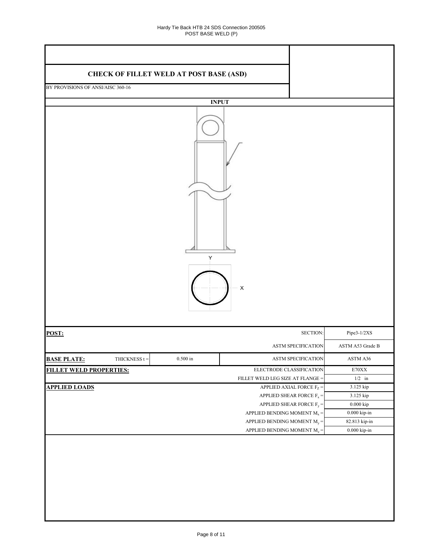| <b>CHECK OF FILLET WELD AT POST BASE (ASD)</b> |              |                                              |                                                 |                       |
|------------------------------------------------|--------------|----------------------------------------------|-------------------------------------------------|-----------------------|
| BY PROVISIONS OF ANSI/AISC 360-16              |              |                                              |                                                 |                       |
|                                                |              |                                              |                                                 |                       |
|                                                | <b>INPUT</b> |                                              |                                                 |                       |
|                                                | Υ            | $\boldsymbol{\mathsf{X}}$                    |                                                 |                       |
| POST:                                          |              |                                              | SECTION:                                        | Pipe3-1/2XS           |
|                                                |              |                                              | ASTM SPECIFICATION                              | ASTM A53 Grade B      |
| <b>BASE PLATE:</b><br>THICKNESS $t =$          | $0.500$ in   |                                              | ASTM SPECIFICATION                              | ASTM A36              |
| <b>FILLET WELD PROPERTIES:</b>                 |              | ELECTRODE CLASSIFICATION                     |                                                 | $\rm E70XX$           |
|                                                |              | FILLET WELD LEG SIZE AT FLANGE =             |                                                 | $1/2\quad$ in         |
| <b>APPLIED LOADS</b>                           |              |                                              | APPLIED AXIAL FORCE $F_Z =$                     | 3.125 kip             |
|                                                |              |                                              | APPLIED SHEAR FORCE $\mathrm{F}_{\mathrm{x}} =$ | 3.125 kip             |
|                                                |              |                                              | APPLIED SHEAR FORCE $F_y =$                     | $0.000\ \mathrm{kip}$ |
|                                                |              | APPLIED BENDING MOMENT $\text{M}_\text{x}$ = |                                                 | $0.000$ kip-in $\,$   |
|                                                |              | APPLIED BENDING MOMENT $M_y =$               |                                                 | 82.813 kip-in         |
|                                                |              | APPLIED BENDING MOMENT $\rm M_{z}$ =         |                                                 | $0.000$ kip-in $\,$   |
|                                                |              |                                              |                                                 |                       |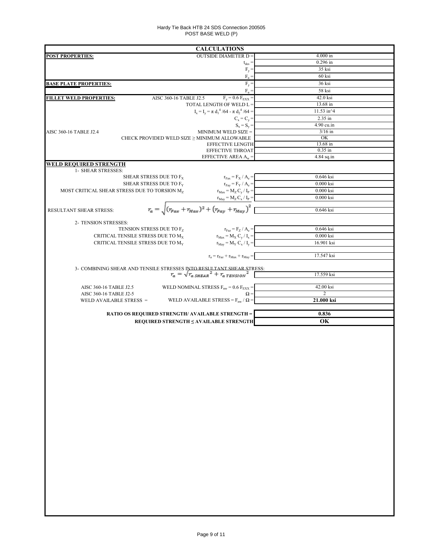#### Hardy Tie Back HTB 24 SDS Connection 200505 POST BASE WELD (P)

| <b>CALCULATIONS</b>                                                                                                                |                                                               |
|------------------------------------------------------------------------------------------------------------------------------------|---------------------------------------------------------------|
| <b>OUTSIDE DIAMETER D =</b><br><b>POST PROPERTIES:</b>                                                                             | $4.000$ in                                                    |
|                                                                                                                                    | $0.296$ in<br>$t_{des} =$                                     |
|                                                                                                                                    | 35 ksi<br>$F_y =$<br>60 ksi                                   |
|                                                                                                                                    | $F_u =$<br>$F_y =$<br>36 ksi                                  |
| <b>BASE PLATE PROPERTIES:</b>                                                                                                      | $F_n =$<br>58 ksi                                             |
| AISC 360-16 TABLE J2.5<br><b>FILLET WELD PROPERTIES:</b>                                                                           | $F_y = 0.6 F_{EXX} =$<br>42.0 ksi                             |
| TOTAL LENGTH OF WELD L =                                                                                                           | 13.68 in                                                      |
| $I_x = I_y = \pi d_1^4 / 64 - \pi d_2^4 / 64 =$                                                                                    | 11.53 in^4                                                    |
|                                                                                                                                    | 2.35 in<br>$C_x = C_y =$                                      |
|                                                                                                                                    | 4.90 cu.in<br>$S_x = S_y =$                                   |
| MINIMUM WELD SIZE =<br>AISC 360-16 TABLE J2.4                                                                                      | $3/16$ in                                                     |
| CHECK PROVIDED WELD SIZE $\geq$ MINIMUM ALLOWABLE<br><b>EFFECTIVE LENGTH</b>                                                       | OK<br>13.68 in                                                |
| EFFECTIVE THROAT                                                                                                                   | $0.35$ in                                                     |
| EFFECTIVE AREA $A_w =$                                                                                                             | $4.84$ sq.in                                                  |
| WELD REQUIRED STRENGTH                                                                                                             |                                                               |
| 1- SHEAR STRESSES:                                                                                                                 |                                                               |
| SHEAR STRESS DUE TO $F_X$                                                                                                          | 0.646 ksi<br>$r_{\text{Fax}} = F_{\text{X}} / A_{\text{e}} =$ |
| SHEAR STRESS DUE TO F <sub>Y</sub><br>MOST CRITICAL SHEAR STRESS DUE TO TORSION M <sub>7</sub><br>$r_{\text{Max}} = M_Z C_y / I_P$ | $r_{\text{Fay}} = F_Y / A_e =$<br>$0.000$ ksi<br>$0.000$ ksi  |
|                                                                                                                                    | 0.000 ksi                                                     |
|                                                                                                                                    |                                                               |
| $r_a = \sqrt{(r_{Fax} + r_{Max})^2 + (r_{Fay} + r_{May})^2}$<br>RESULTANT SHEAR STRESS:                                            | 0.646 ksi                                                     |
|                                                                                                                                    |                                                               |
| 2- TENSION STRESSES:<br>TENSION STRESS DUE TO Fz                                                                                   | 0.646 ksi                                                     |
| CRITICAL TENSILE STRESS DUE TO M <sub>x</sub><br>$r_{\text{Max}} = M_X C_y / I_x =$                                                | $r_{\text{Faz}} = F_Z / A_e =$<br>$0.000$ ksi                 |
| CRITICAL TENSILE STRESS DUE TO M <sub>Y</sub><br>$r_{\text{May}} = M_Y C_x / I_y =$                                                | 16.901 ksi                                                    |
|                                                                                                                                    |                                                               |
| $\mathbf{r}_\mathrm{a} = \mathbf{r}_\mathrm{Faz} + \mathbf{r}_\mathrm{Max} + \mathbf{r}_\mathrm{May} =$                            | 17.547 ksi                                                    |
|                                                                                                                                    |                                                               |
| 3- COMBINING SHEAR AND TENSILE STRESSES INTO RESULTANT SHEAR STRESS:<br>$r_a = \sqrt{r_a s_{HEAR}}^2 + r_{a \, TENSION}^2$         | 17.559 ksi                                                    |
|                                                                                                                                    |                                                               |
| WELD NOMINAL STRESS $F_{nw}$ = 0.6 $F_{EXX}$ =<br>AISC 360-16 TABLE J2.5                                                           | 42.00 ksi<br>$\overline{2}$                                   |
| AISC 360-16 TABLE J2-5<br>WELD AVAILABLE STRESS = $F_{nw}$ / $\Omega$ =<br>WELD AVAILABLE STRESS =                                 | $\Omega =$<br>21.000 ksi                                      |
|                                                                                                                                    |                                                               |
| <b>RATIO OS REQUIRED STRENGTH/ AVAILABLE STRENGTH =</b>                                                                            | 0.836                                                         |
| REQUIRED STRENGTH ≤ AVAILABLE STRENGTH                                                                                             | OK                                                            |
|                                                                                                                                    |                                                               |
|                                                                                                                                    |                                                               |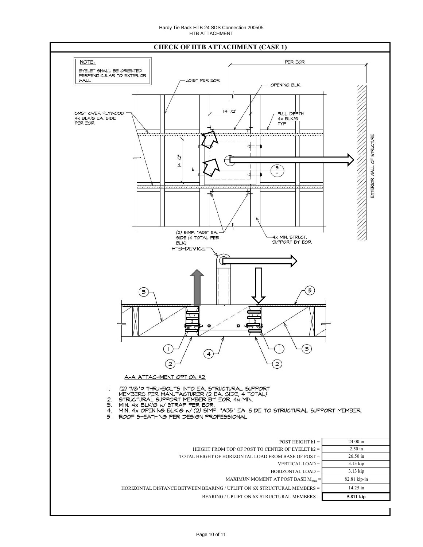